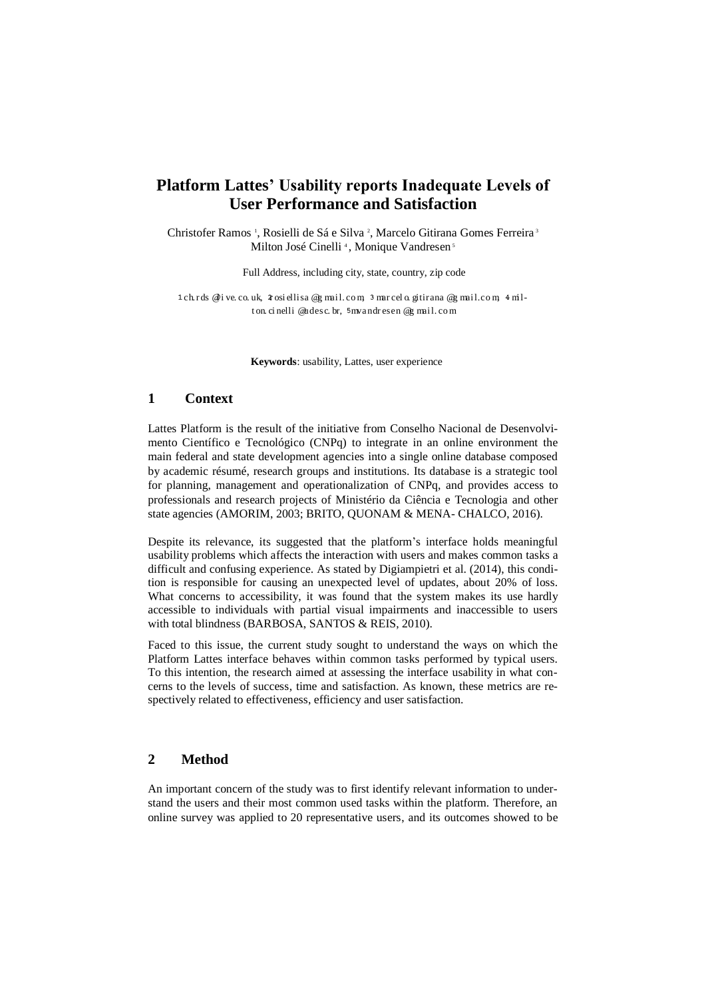# **Platform Lattes' Usability reports Inadequate Levels of User Performance and Satisfaction**

Christofer Ramos<sup>1</sup>, Rosielli de Sá e Silva<sup>2</sup>, Marcelo Gitirana Gomes Ferreira<sup>3</sup> Milton José Cinelli<sup>4</sup>, Monique Vandresen<sup>5</sup>

Full Address, including city, state, country, zip code

1 ch rds @i ve. co. uk, 4 osi ellisa @g mail. com, 3 mar cel o. gitirana @g mail. com, 4 milt on. ci nelli @udesc. br, 5 mvandr esen @g mail.com

**Keywords**: usability, Lattes, user experience

# **1 Context**

Lattes Platform is the result of the initiative from Conselho Nacional de Desenvolvimento Científico e Tecnológico (CNPq) to integrate in an online environment the main federal and state development agencies into a single online database composed by academic résumé, research groups and institutions. Its database is a strategic tool for planning, management and operationalization of CNPq, and provides access to professionals and research projects of Ministério da Ciência e Tecnologia and other state agencies (AMORIM, 2003; BRITO, QUONAM & MENA- CHALCO, 2016).

Despite its relevance, its suggested that the platform's interface holds meaningful usability problems which affects the interaction with users and makes common tasks a difficult and confusing experience. As stated by Digiampietri et al. (2014), this condition is responsible for causing an unexpected level of updates, about 20% of loss. What concerns to accessibility, it was found that the system makes its use hardly accessible to individuals with partial visual impairments and inaccessible to users with total blindness (BARBOSA, SANTOS & REIS, 2010).

Faced to this issue, the current study sought to understand the ways on which the Platform Lattes interface behaves within common tasks performed by typical users. To this intention, the research aimed at assessing the interface usability in what concerns to the levels of success, time and satisfaction. As known, these metrics are respectively related to effectiveness, efficiency and user satisfaction.

### **2 Method**

An important concern of the study was to first identify relevant information to understand the users and their most common used tasks within the platform. Therefore, an online survey was applied to 20 representative users, and its outcomes showed to be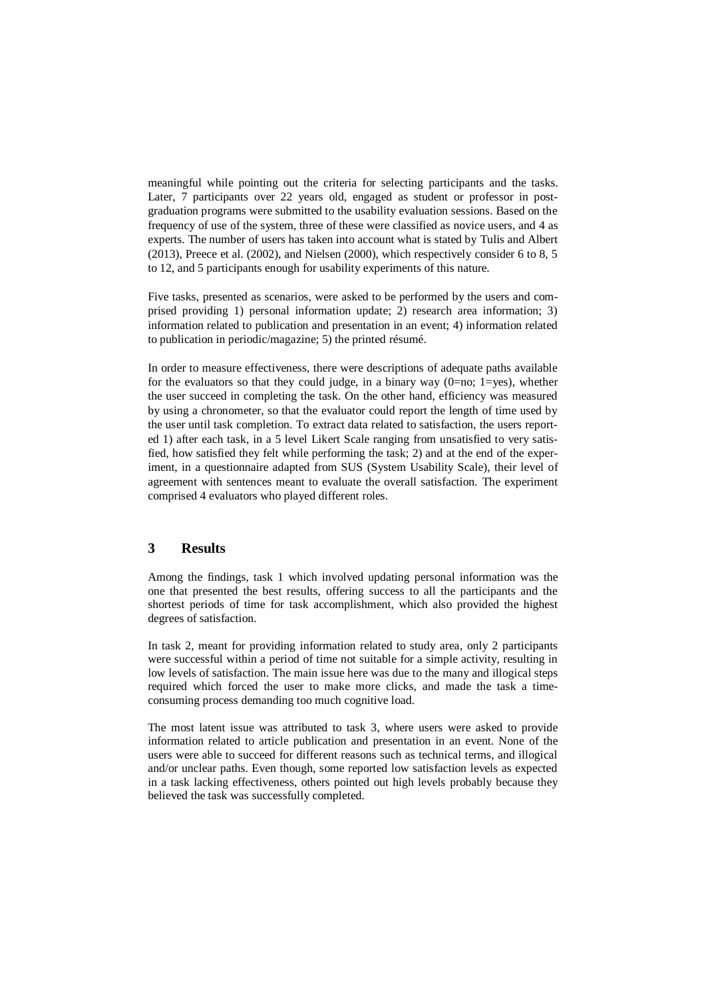meaningful while pointing out the criteria for selecting participants and the tasks. Later, 7 participants over 22 years old, engaged as student or professor in postgraduation programs were submitted to the usability evaluation sessions. Based on the frequency of use of the system, three of these were classified as novice users, and 4 as experts. The number of users has taken into account what is stated by Tulis and Albert (2013), Preece et al. (2002), and Nielsen (2000), which respectively consider 6 to 8, 5 to 12, and 5 participants enough for usability experiments of this nature.

Five tasks, presented as scenarios, were asked to be performed by the users and comprised providing 1) personal information update; 2) research area information; 3) information related to publication and presentation in an event; 4) information related to publication in periodic/magazine; 5) the printed résumé.

In order to measure effectiveness, there were descriptions of adequate paths available for the evaluators so that they could judge, in a binary way  $(0=no; 1=yes)$ , whether the user succeed in completing the task. On the other hand, efficiency was measured by using a chronometer, so that the evaluator could report the length of time used by the user until task completion. To extract data related to satisfaction, the users reported 1) after each task, in a 5 level Likert Scale ranging from unsatisfied to very satisfied, how satisfied they felt while performing the task; 2) and at the end of the experiment, in a questionnaire adapted from SUS (System Usability Scale), their level of agreement with sentences meant to evaluate the overall satisfaction. The experiment comprised 4 evaluators who played different roles.

# **3 Results**

Among the findings, task 1 which involved updating personal information was the one that presented the best results, offering success to all the participants and the shortest periods of time for task accomplishment, which also provided the highest degrees of satisfaction.

In task 2, meant for providing information related to study area, only 2 participants were successful within a period of time not suitable for a simple activity, resulting in low levels of satisfaction. The main issue here was due to the many and illogical steps required which forced the user to make more clicks, and made the task a timeconsuming process demanding too much cognitive load.

The most latent issue was attributed to task 3, where users were asked to provide information related to article publication and presentation in an event. None of the users were able to succeed for different reasons such as technical terms, and illogical and/or unclear paths. Even though, some reported low satisfaction levels as expected in a task lacking effectiveness, others pointed out high levels probably because they believed the task was successfully completed.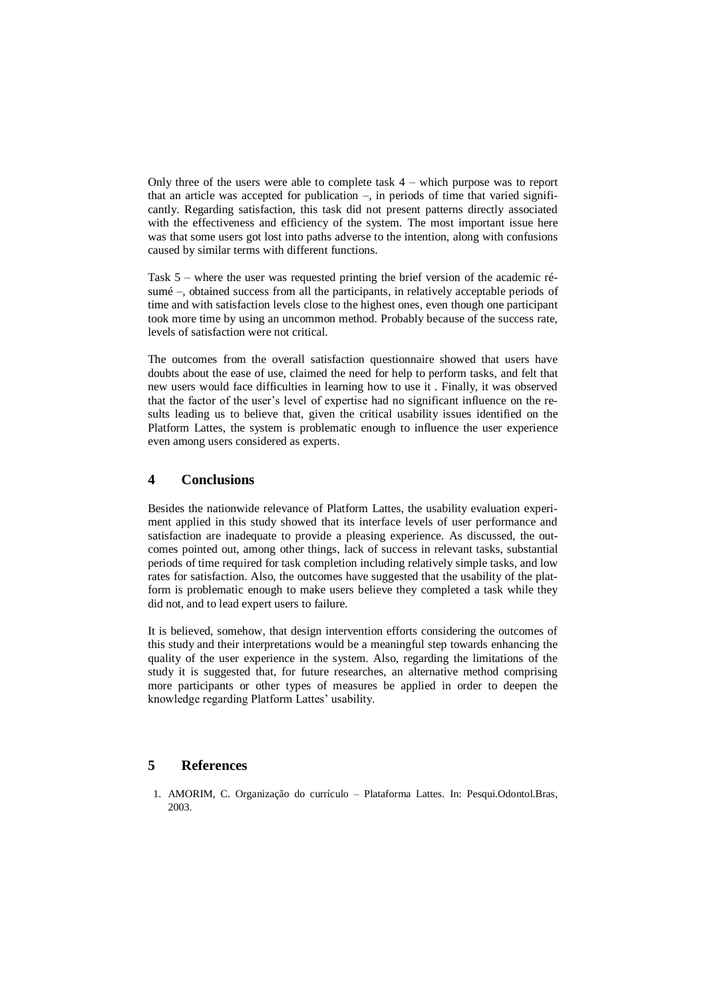Only three of the users were able to complete task 4 – which purpose was to report that an article was accepted for publication –, in periods of time that varied significantly. Regarding satisfaction, this task did not present patterns directly associated with the effectiveness and efficiency of the system. The most important issue here was that some users got lost into paths adverse to the intention, along with confusions caused by similar terms with different functions.

Task 5 – where the user was requested printing the brief version of the academic résumé –, obtained success from all the participants, in relatively acceptable periods of time and with satisfaction levels close to the highest ones, even though one participant took more time by using an uncommon method. Probably because of the success rate, levels of satisfaction were not critical.

The outcomes from the overall satisfaction questionnaire showed that users have doubts about the ease of use, claimed the need for help to perform tasks, and felt that new users would face difficulties in learning how to use it . Finally, it was observed that the factor of the user's level of expertise had no significant influence on the results leading us to believe that, given the critical usability issues identified on the Platform Lattes, the system is problematic enough to influence the user experience even among users considered as experts.

# **4 Conclusions**

Besides the nationwide relevance of Platform Lattes, the usability evaluation experiment applied in this study showed that its interface levels of user performance and satisfaction are inadequate to provide a pleasing experience. As discussed, the outcomes pointed out, among other things, lack of success in relevant tasks, substantial periods of time required for task completion including relatively simple tasks, and low rates for satisfaction. Also, the outcomes have suggested that the usability of the platform is problematic enough to make users believe they completed a task while they did not, and to lead expert users to failure.

It is believed, somehow, that design intervention efforts considering the outcomes of this study and their interpretations would be a meaningful step towards enhancing the quality of the user experience in the system. Also, regarding the limitations of the study it is suggested that, for future researches, an alternative method comprising more participants or other types of measures be applied in order to deepen the knowledge regarding Platform Lattes' usability.

## **5 References**

1. AMORIM, C. Organização do currículo – Plataforma Lattes. In: Pesqui.Odontol.Bras, 2003.